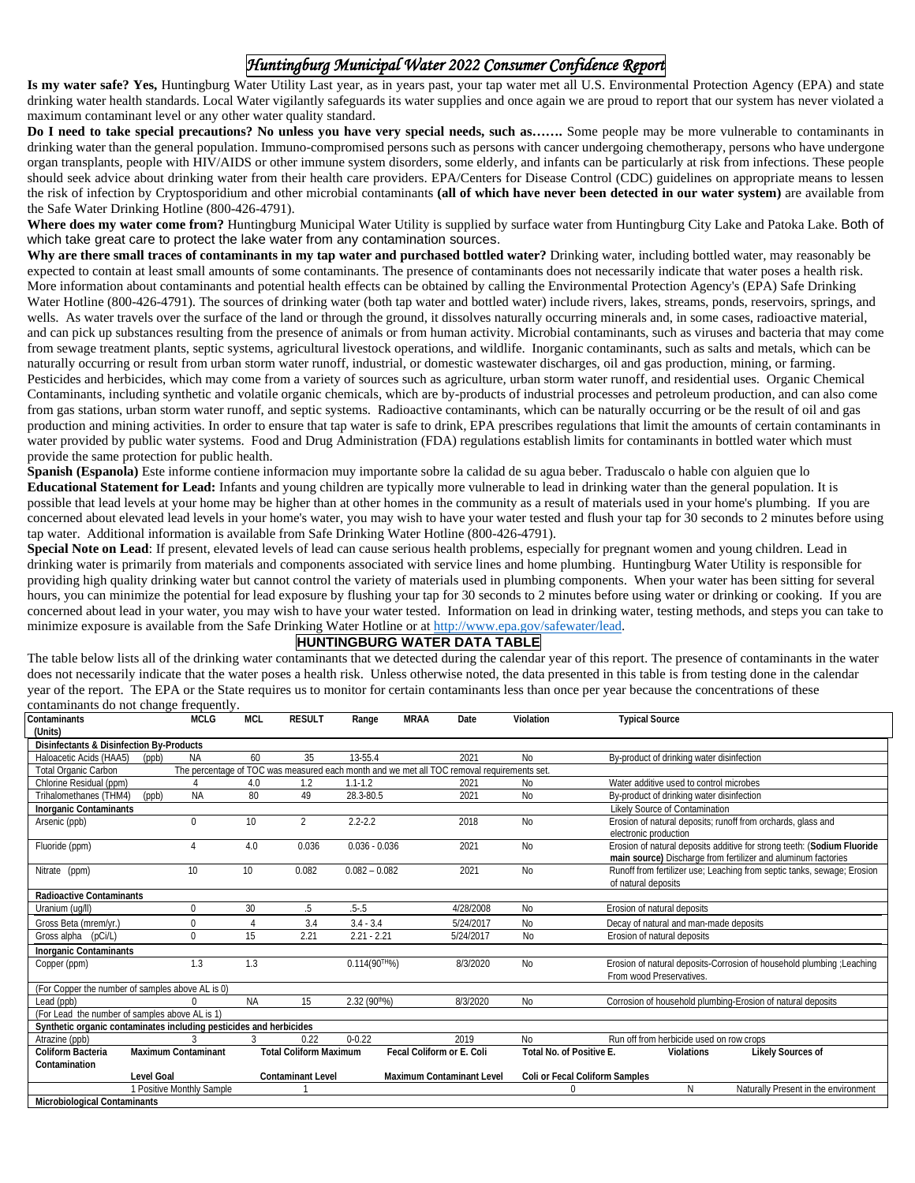## *Huntingburg Municipal Water 2022 Consumer Confidence Report*

**Is my water safe? Yes,** Huntingburg Water Utility Last year, as in years past, your tap water met all U.S. Environmental Protection Agency (EPA) and state drinking water health standards. Local Water vigilantly safeguards its water supplies and once again we are proud to report that our system has never violated a maximum contaminant level or any other water quality standard.

**Do I need to take special precautions? No unless you have very special needs, such as…….** Some people may be more vulnerable to contaminants in drinking water than the general population. Immuno-compromised persons such as persons with cancer undergoing chemotherapy, persons who have undergone organ transplants, people with HIV/AIDS or other immune system disorders, some elderly, and infants can be particularly at risk from infections. These people should seek advice about drinking water from their health care providers. EPA/Centers for Disease Control (CDC) guidelines on appropriate means to lessen the risk of infection by Cryptosporidium and other microbial contaminants **(all of which have never been detected in our water system)** are available from the Safe Water Drinking Hotline (800-426-4791).

**Where does my water come from?** Huntingburg Municipal Water Utility is supplied by surface water from Huntingburg City Lake and Patoka Lake. Both of which take great care to protect the lake water from any contamination sources.

**Why are there small traces of contaminants in my tap water and purchased bottled water?** Drinking water, including bottled water, may reasonably be expected to contain at least small amounts of some contaminants. The presence of contaminants does not necessarily indicate that water poses a health risk. More information about contaminants and potential health effects can be obtained by calling the Environmental Protection Agency's (EPA) Safe Drinking Water Hotline (800-426-4791). The sources of drinking water (both tap water and bottled water) include rivers, lakes, streams, ponds, reservoirs, springs, and wells. As water travels over the surface of the land or through the ground, it dissolves naturally occurring minerals and, in some cases, radioactive material, and can pick up substances resulting from the presence of animals or from human activity. Microbial contaminants, such as viruses and bacteria that may come from sewage treatment plants, septic systems, agricultural livestock operations, and wildlife. Inorganic contaminants, such as salts and metals, which can be naturally occurring or result from urban storm water runoff, industrial, or domestic wastewater discharges, oil and gas production, mining, or farming. Pesticides and herbicides, which may come from a variety of sources such as agriculture, urban storm water runoff, and residential uses. Organic Chemical Contaminants, including synthetic and volatile organic chemicals, which are by-products of industrial processes and petroleum production, and can also come from gas stations, urban storm water runoff, and septic systems. Radioactive contaminants, which can be naturally occurring or be the result of oil and gas production and mining activities. In order to ensure that tap water is safe to drink, EPA prescribes regulations that limit the amounts of certain contaminants in water provided by public water systems. Food and Drug Administration (FDA) regulations establish limits for contaminants in bottled water which must provide the same protection for public health.

**Spanish (Espanola)** Este informe contiene informacion muy importante sobre la calidad de su agua beber. Traduscalo o hable con alguien que lo **Educational Statement for Lead:** Infants and young children are typically more vulnerable to lead in drinking water than the general population. It is possible that lead levels at your home may be higher than at other homes in the community as a result of materials used in your home's plumbing. If you are concerned about elevated lead levels in your home's water, you may wish to have your water tested and flush your tap for 30 seconds to 2 minutes before using tap water. Additional information is available from Safe Drinking Water Hotline (800-426-4791).

**Special Note on Lead**: If present, elevated levels of lead can cause serious health problems, especially for pregnant women and young children. Lead in drinking water is primarily from materials and components associated with service lines and home plumbing. Huntingburg Water Utility is responsible for providing high quality drinking water but cannot control the variety of materials used in plumbing components. When your water has been sitting for several hours, you can minimize the potential for lead exposure by flushing your tap for 30 seconds to 2 minutes before using water or drinking or cooking. If you are concerned about lead in your water, you may wish to have your water tested. Information on lead in drinking water, testing methods, and steps you can take to minimize exposure is available from the Safe Drinking Water Hotline or a[t http://www.epa.gov/safewater/lead.](http://www.epa.gov/safewater/lead)

## **HUNTINGBURG WATER DATA TABLE**

The table below lists all of the drinking water contaminants that we detected during the calendar year of this report. The presence of contaminants in the water does not necessarily indicate that the water poses a health risk. Unless otherwise noted, the data presented in this table is from testing done in the calendar year of the report. The EPA or the State requires us to monitor for certain contaminants less than once per year because the concentrations of these contaminants do not change frequently.

| $\alpha$ and $\alpha$ and $\alpha$ and $\beta$ and $\beta$ and $\beta$ and $\beta$ and $\beta$ and $\beta$ and $\beta$ and $\beta$ and $\beta$ and $\beta$ and $\beta$ and $\beta$ and $\beta$ and $\beta$ and $\beta$ and $\beta$ and $\beta$ and $\beta$ and $\beta$ and $\beta$ and $\beta$ and $\beta$<br>Contaminants |                                | <b>MCLG</b> | <b>MCL</b> | <b>RESULT</b>                 | Range              | <b>MRAA</b>                      | Date      | Violation                                             | <b>Typical Source</b>                                                                                                                    |  |  |  |
|----------------------------------------------------------------------------------------------------------------------------------------------------------------------------------------------------------------------------------------------------------------------------------------------------------------------------|--------------------------------|-------------|------------|-------------------------------|--------------------|----------------------------------|-----------|-------------------------------------------------------|------------------------------------------------------------------------------------------------------------------------------------------|--|--|--|
| (Units)                                                                                                                                                                                                                                                                                                                    |                                |             |            |                               |                    |                                  |           |                                                       |                                                                                                                                          |  |  |  |
| Disinfectants & Disinfection By-Products                                                                                                                                                                                                                                                                                   |                                |             |            |                               |                    |                                  |           |                                                       |                                                                                                                                          |  |  |  |
| Haloacetic Acids (HAA5)                                                                                                                                                                                                                                                                                                    | (ppb)                          | <b>NA</b>   | 60         | 35                            | 13-55.4            |                                  | 2021      | <b>No</b>                                             | By-product of drinking water disinfection                                                                                                |  |  |  |
| The percentage of TOC was measured each month and we met all TOC removal requirements set.<br><b>Total Organic Carbon</b>                                                                                                                                                                                                  |                                |             |            |                               |                    |                                  |           |                                                       |                                                                                                                                          |  |  |  |
| Chlorine Residual (ppm)                                                                                                                                                                                                                                                                                                    |                                |             | 4.0        | 1.2                           | $1.1 - 1.2$        |                                  | 2021      | No                                                    | Water additive used to control microbes                                                                                                  |  |  |  |
| Trihalomethanes (THM4)                                                                                                                                                                                                                                                                                                     | 80<br><b>NA</b><br>49<br>(opb) |             |            | 28.3-80.5                     |                    | 2021                             | <b>No</b> | By-product of drinking water disinfection             |                                                                                                                                          |  |  |  |
| <b>Inorganic Contaminants</b>                                                                                                                                                                                                                                                                                              |                                |             |            |                               |                    |                                  |           |                                                       | Likely Source of Contamination                                                                                                           |  |  |  |
| Arsenic (ppb)                                                                                                                                                                                                                                                                                                              |                                | $\Omega$    | 10         | $\overline{2}$                | $2.2 - 2.2$        |                                  | 2018      | <b>No</b>                                             | Erosion of natural deposits; runoff from orchards, glass and<br>electronic production                                                    |  |  |  |
| Fluoride (ppm)                                                                                                                                                                                                                                                                                                             |                                | 4           | 4.0        | 0.036                         | $0.036 - 0.036$    |                                  | 2021      | <b>No</b>                                             | Erosion of natural deposits additive for strong teeth: (Sodium Fluoride<br>main source) Discharge from fertilizer and aluminum factories |  |  |  |
| Nitrate (ppm)                                                                                                                                                                                                                                                                                                              | 10                             |             | 10         | 0.082                         | $0.082 - 0.082$    |                                  | 2021      | <b>No</b>                                             | Runoff from fertilizer use; Leaching from septic tanks, sewage; Erosion<br>of natural deposits                                           |  |  |  |
| <b>Radioactive Contaminants</b>                                                                                                                                                                                                                                                                                            |                                |             |            |                               |                    |                                  |           |                                                       |                                                                                                                                          |  |  |  |
| Uranium (uq/ll)                                                                                                                                                                                                                                                                                                            |                                | $\mathbf 0$ | 30         | .5                            | $.5 - .5$          |                                  | 4/28/2008 | <b>No</b>                                             | Erosion of natural deposits                                                                                                              |  |  |  |
| Gross Beta (mrem/yr.)                                                                                                                                                                                                                                                                                                      | $\mathbf 0$                    |             |            | 3.4<br>$3.4 - 3.4$            |                    | 5/24/2017                        |           | <b>No</b>                                             | Decay of natural and man-made deposits                                                                                                   |  |  |  |
| Gross alpha (pCi/L)<br>$\Omega$                                                                                                                                                                                                                                                                                            |                                | 15          | 2.21       | $2.21 - 2.21$                 |                    | 5/24/2017                        |           | Erosion of natural deposits                           |                                                                                                                                          |  |  |  |
| <b>Inorganic Contaminants</b>                                                                                                                                                                                                                                                                                              |                                |             |            |                               |                    |                                  |           |                                                       |                                                                                                                                          |  |  |  |
| 1.3<br>Copper (ppm)                                                                                                                                                                                                                                                                                                        |                                |             | 1.3        |                               | $0.114(90^{TH}\%)$ |                                  | 8/3/2020  | <b>No</b>                                             | Erosion of natural deposits-Corrosion of household plumbing ; Leaching<br>From wood Preservatives.                                       |  |  |  |
| (For Copper the number of samples above AL is 0)                                                                                                                                                                                                                                                                           |                                |             |            |                               |                    |                                  |           |                                                       |                                                                                                                                          |  |  |  |
| Lead (ppb)                                                                                                                                                                                                                                                                                                                 |                                |             | <b>NA</b>  | 15                            | 2.32 (90th%)       |                                  | 8/3/2020  | <b>No</b>                                             | Corrosion of household plumbing-Erosion of natural deposits                                                                              |  |  |  |
| (For Lead the number of samples above AL is 1)                                                                                                                                                                                                                                                                             |                                |             |            |                               |                    |                                  |           |                                                       |                                                                                                                                          |  |  |  |
| Synthetic organic contaminates including pesticides and herbicides                                                                                                                                                                                                                                                         |                                |             |            |                               |                    |                                  |           |                                                       |                                                                                                                                          |  |  |  |
| Atrazine (ppb)                                                                                                                                                                                                                                                                                                             |                                |             |            | 0.22                          | $0 - 0.22$         |                                  | 2019      | <b>No</b>                                             | Run off from herbicide used on row crops                                                                                                 |  |  |  |
| Coliform Bacteria<br>Contamination                                                                                                                                                                                                                                                                                         | <b>Maximum Contaminant</b>     |             |            | <b>Total Coliform Maximum</b> |                    | Fecal Coliform or E. Coli        |           | Total No. of Positive E.                              | <b>Likely Sources of</b><br>Violations                                                                                                   |  |  |  |
|                                                                                                                                                                                                                                                                                                                            | <b>Level Goal</b>              |             |            | <b>Contaminant Level</b>      |                    | <b>Maximum Contaminant Level</b> |           |                                                       | Coli or Fecal Coliform Samples                                                                                                           |  |  |  |
| 1 Positive Monthly Sample                                                                                                                                                                                                                                                                                                  |                                |             |            |                               |                    |                                  |           | Naturally Present in the environment<br>N<br>$\Omega$ |                                                                                                                                          |  |  |  |
| <b>Microbiological Contaminants</b>                                                                                                                                                                                                                                                                                        |                                |             |            |                               |                    |                                  |           |                                                       |                                                                                                                                          |  |  |  |